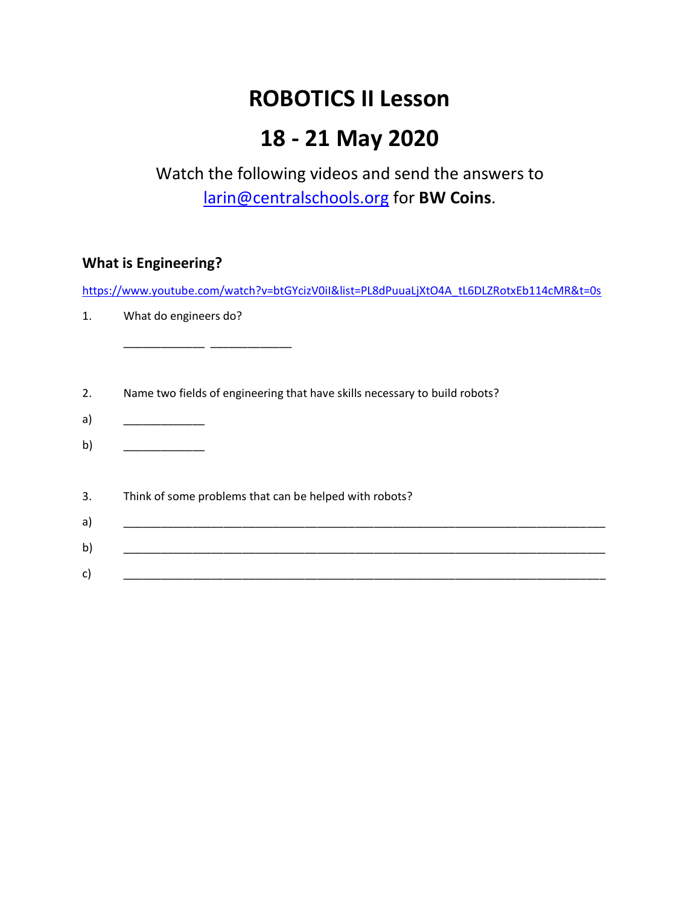# **ROBOTICS II Lesson**

# **18 - 21 May 2020**

# Watch the following videos and send the answers to [larin@centralschools.org](mailto:larin@centralschools.org) for **BW Coins**.

### **What is Engineering?**

[https://www.youtube.com/watch?v=btGYcizV0iI&list=PL8dPuuaLjXtO4A\\_tL6DLZRotxEb114cMR&t=0s](https://www.youtube.com/watch?v=btGYcizV0iI&list=PL8dPuuaLjXtO4A_tL6DLZRotxEb114cMR&t=0s)

1. What do engineers do?

\_\_\_\_\_\_\_\_\_\_\_\_\_ \_\_\_\_\_\_\_\_\_\_\_\_\_

- 2. Name two fields of engineering that have skills necessary to build robots?
- a) \_\_\_\_\_\_\_\_\_\_\_\_\_\_\_\_\_
- b) \_\_\_\_\_\_\_\_\_\_\_\_\_\_\_
- 3. Think of some problems that can be helped with robots?
- a)  $\hspace{1.5cm}$   $\hspace{1.5cm}$   $\hspace{1.5cm}$   $\hspace{1.5cm}$   $\hspace{1.5cm}$   $\hspace{1.5cm}$   $\hspace{1.5cm}$   $\hspace{1.5cm}$   $\hspace{1.5cm}$   $\hspace{1.5cm}$   $\hspace{1.5cm}$   $\hspace{1.5cm}$   $\hspace{1.5cm}$   $\hspace{1.5cm}$   $\hspace{1.5cm}$   $\hspace{1.5cm}$   $\hspace{1.5cm}$   $\hspace{1.5cm}$   $\$ b) \_\_\_\_\_\_\_\_\_\_\_\_\_\_\_\_\_\_\_\_\_\_\_\_\_\_\_\_\_\_\_\_\_\_\_\_\_\_\_\_\_\_\_\_\_\_\_\_\_\_\_\_\_\_\_\_\_\_\_\_\_\_\_\_\_\_\_\_\_\_\_\_\_\_\_\_\_ c) and  $\lambda$  is the set of  $\lambda$  is the set of  $\lambda$  is the set of  $\lambda$  is the set of  $\lambda$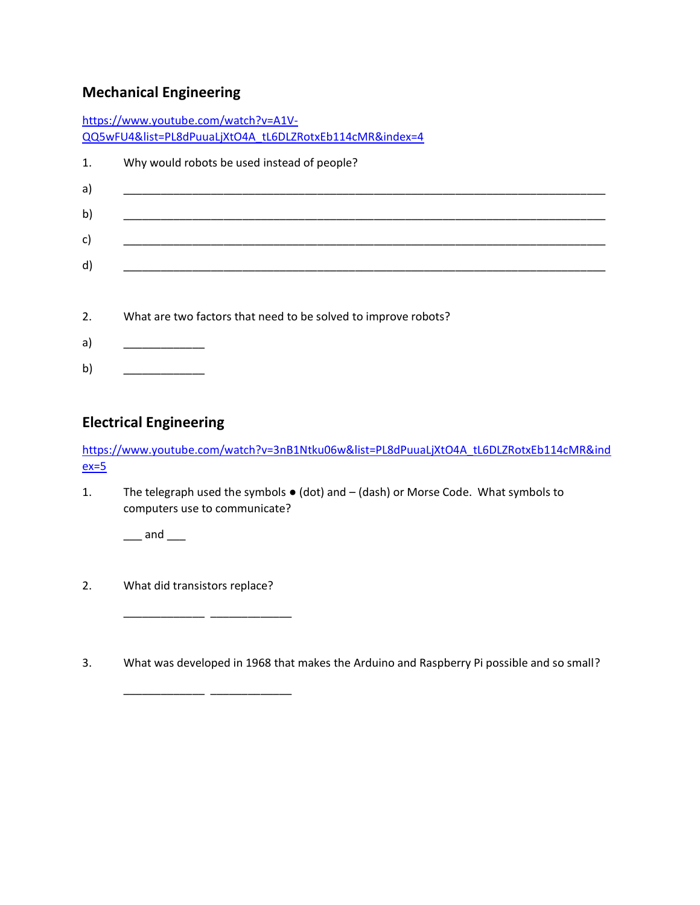## **Mechanical Engineering**

|    | https://www.youtube.com/watch?v=A1V-                           |
|----|----------------------------------------------------------------|
|    | QQ5wFU4&list=PL8dPuuaLjXtO4A tL6DLZRotxEb114cMR&index=4        |
| 1. | Why would robots be used instead of people?                    |
| a) |                                                                |
| b) |                                                                |
| c) |                                                                |
| d) |                                                                |
|    |                                                                |
| 2. | What are two factors that need to be solved to improve robots? |
| a) |                                                                |
| b) |                                                                |

### **Electrical Engineering**

[https://www.youtube.com/watch?v=3nB1Ntku06w&list=PL8dPuuaLjXtO4A\\_tL6DLZRotxEb114cMR&ind](https://www.youtube.com/watch?v=3nB1Ntku06w&list=PL8dPuuaLjXtO4A_tL6DLZRotxEb114cMR&index=5)  $ex=5$ 

1. The telegraph used the symbols ● (dot) and – (dash) or Morse Code. What symbols to computers use to communicate?

 $\_\_$  and  $\_\_$ 

2. What did transistors replace?

\_\_\_\_\_\_\_\_\_\_\_\_\_ \_\_\_\_\_\_\_\_\_\_\_\_\_

\_\_\_\_\_\_\_\_\_\_\_\_\_ \_\_\_\_\_\_\_\_\_\_\_\_\_

3. What was developed in 1968 that makes the Arduino and Raspberry Pi possible and so small?